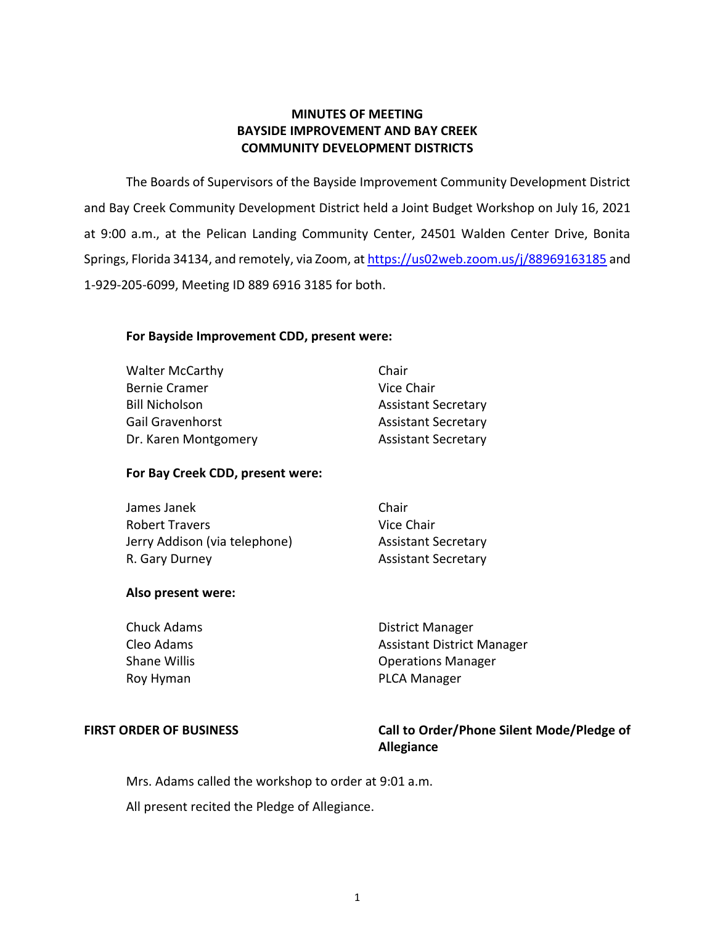# **MINUTES OF MEETING BAYSIDE IMPROVEMENT AND BAY CREEK COMMUNITY DEVELOPMENT DISTRICTS**

 The Boards of Supervisors of the Bayside Improvement Community Development District and Bay Creek Community Development District held a Joint Budget Workshop on July 16, 2021 at 9:00 a.m., at the Pelican Landing Community Center, 24501 Walden Center Drive, Bonita Springs, Florida 34134, and remotely, via Zoom, at <u>https://us02web.zoom.us/j/88969163185</u> and 1-929-205-6099, Meeting ID 889 6916 3185 for both.

# **For Bayside Improvement CDD, present were:**

| <b>Walter McCarthy</b> | Chair                      |
|------------------------|----------------------------|
| <b>Bernie Cramer</b>   | Vice Chair                 |
| <b>Bill Nicholson</b>  | <b>Assistant Secretary</b> |
| Gail Gravenhorst       | <b>Assistant Secretary</b> |
| Dr. Karen Montgomery   | <b>Assistant Secretary</b> |
|                        |                            |

# **For Bay Creek CDD, present were:**

| James Janek                   | Chair                      |
|-------------------------------|----------------------------|
| <b>Robert Travers</b>         | Vice Chair                 |
| Jerry Addison (via telephone) | <b>Assistant Secretary</b> |
| R. Gary Durney                | <b>Assistant Secretary</b> |

#### **Also present were:**

| Chuck Adams  | <b>District Manager</b>           |
|--------------|-----------------------------------|
| Cleo Adams   | <b>Assistant District Manager</b> |
| Shane Willis | <b>Operations Manager</b>         |
| Roy Hyman    | <b>PLCA Manager</b>               |
|              |                                   |

FIRST ORDER OF BUSINESS **The State of Landsler Call to Order/Phone Silent Mode/Pledge of Allegiance** 

Mrs. Adams called the workshop to order at 9:01 a.m.

All present recited the Pledge of Allegiance.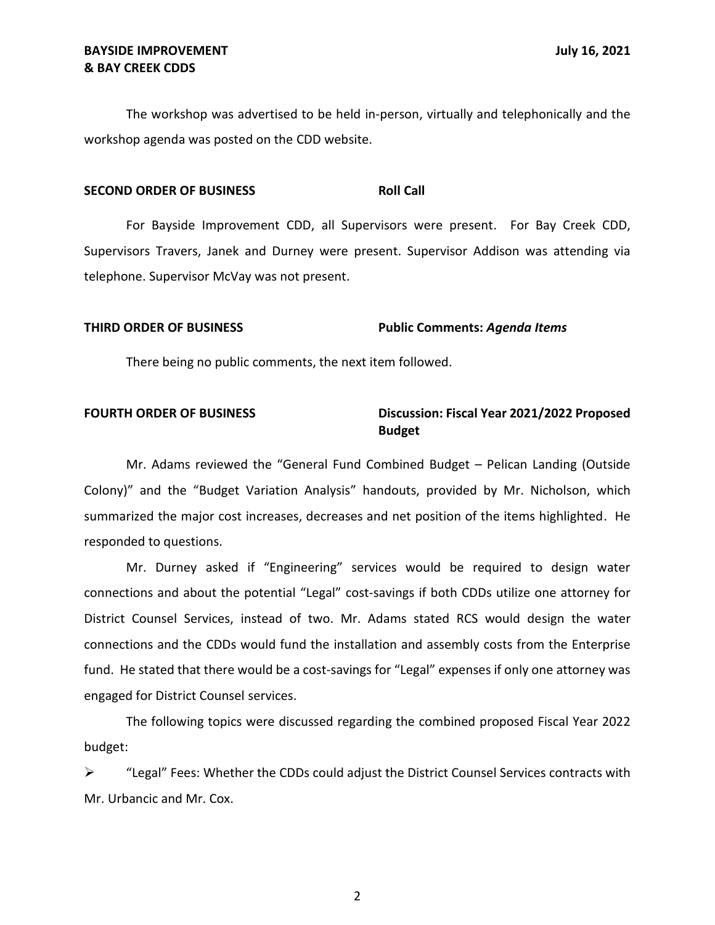The workshop was advertised to be held in-person, virtually and telephonically and the workshop agenda was posted on the CDD website.

#### **SECOND ORDER OF BUSINESS ROLL CALL ROLL CALL**

For Bayside Improvement CDD, all Supervisors were present. For Bay Creek CDD, Supervisors Travers, Janek and Durney were present. Supervisor Addison was attending via telephone. Supervisor McVay was not present.

# **THIRD ORDER OF BUSINESS Public Comments:** *Agenda Items*

There being no public comments, the next item followed.

# **FOURTH ORDER OF BUSINESS** Discussion: Fiscal Year 2021/2022 Proposed **Budget**

 Mr. Adams reviewed the "General Fund Combined Budget – Pelican Landing (Outside Colony)" and the "Budget Variation Analysis" handouts, provided by Mr. Nicholson, which summarized the major cost increases, decreases and net position of the items highlighted. He responded to questions.

 Mr. Durney asked if "Engineering" services would be required to design water connections and the CDDs would fund the installation and assembly costs from the Enterprise fund. He stated that there would be a cost-savings for "Legal" expenses if only one attorney was connections and about the potential "Legal" cost-savings if both CDDs utilize one attorney for District Counsel Services, instead of two. Mr. Adams stated RCS would design the water engaged for District Counsel services.

 The following topics were discussed regarding the combined proposed Fiscal Year 2022 budget:

 $\triangleright$  "Legal" Fees: Whether the CDDs could adjust the District Counsel Services contracts with Mr. Urbancic and Mr. Cox.

2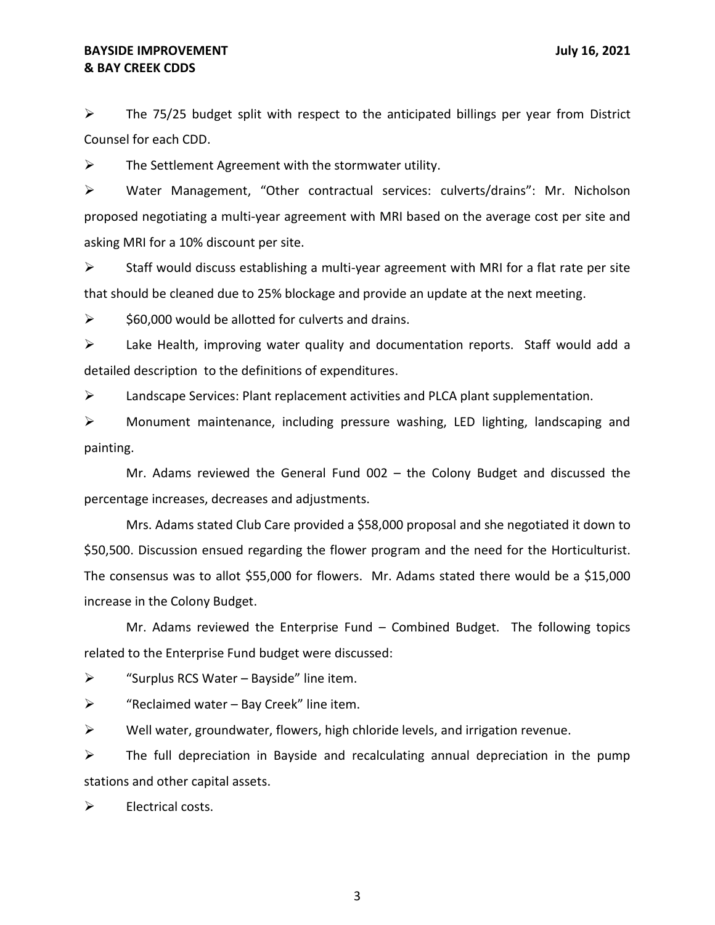# **& BAY CREEK CDDS BAYSIDE IMPROVEMENT SECUREMENT** *BAYSIDE IMPROVEMENT*

 $\triangleright$  The 75/25 budget split with respect to the anticipated billings per year from District Counsel for each CDD.

 $\triangleright$  The Settlement Agreement with the stormwater utility.

 proposed negotiating a multi-year agreement with MRI based on the average cost per site and asking MRI for a 10% discount per site. ➢ Water Management, "Other contractual services: culverts/drains": Mr. Nicholson

 $\triangleright$  Staff would discuss establishing a multi-year agreement with MRI for a flat rate per site that should be cleaned due to 25% blockage and provide an update at the next meeting.

 $\geq$  \$60,000 would be allotted for culverts and drains.

 ➢ Lake Health, improving water quality and documentation reports. Staff would add a detailed description to the definitions of expenditures.

➢ Landscape Services: Plant replacement activities and PLCA plant supplementation.

 ➢ Monument maintenance, including pressure washing, LED lighting, landscaping and painting.

 Mr. Adams reviewed the General Fund 002 – the Colony Budget and discussed the percentage increases, decreases and adjustments.

 Mrs. Adams stated Club Care provided a \$58,000 proposal and she negotiated it down to \$50,500. Discussion ensued regarding the flower program and the need for the Horticulturist. The consensus was to allot \$55,000 for flowers. Mr. Adams stated there would be a \$15,000 increase in the Colony Budget.

 Mr. Adams reviewed the Enterprise Fund – Combined Budget. The following topics related to the Enterprise Fund budget were discussed:

 $\triangleright$  "Surplus RCS Water – Bayside" line item.

 $\triangleright$  "Reclaimed water – Bay Creek" line item.

 $\triangleright$  Well water, groundwater, flowers, high chloride levels, and irrigation revenue.

 $\triangleright$  The full depreciation in Bayside and recalculating annual depreciation in the pump stations and other capital assets.

Electrical costs. ➢ Electrical costs. 3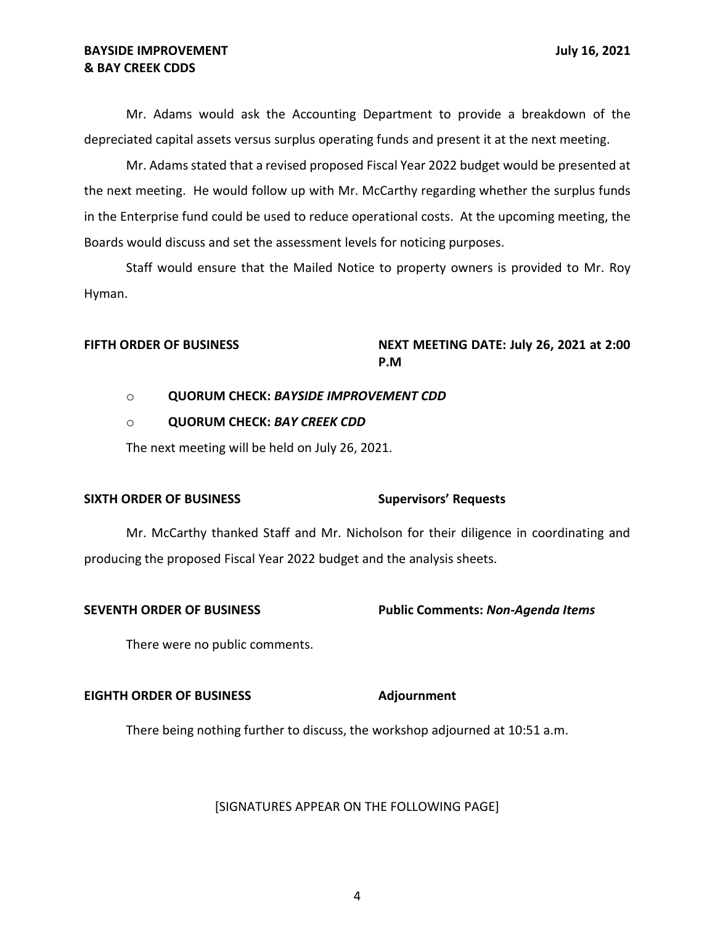# **& BAY CREEK CDDS BAYSIDE IMPROVEMENT DEVICES 100 ASSESSMENT July 16, 2021**

 Mr. Adams would ask the Accounting Department to provide a breakdown of the depreciated capital assets versus surplus operating funds and present it at the next meeting.

 Mr. Adams stated that a revised proposed Fiscal Year 2022 budget would be presented at the next meeting. He would follow up with Mr. McCarthy regarding whether the surplus funds in the Enterprise fund could be used to reduce operational costs. At the upcoming meeting, the Boards would discuss and set the assessment levels for noticing purposes.

 Staff would ensure that the Mailed Notice to property owners is provided to Mr. Roy Hyman.

#### FIFTH ORDER OF BUSINESS **NEXT MEETING DATE: July 26, 2021 at 2:00 P.M**

## o **QUORUM CHECK:** *BAYSIDE IMPROVEMENT CDD*

### o **QUORUM CHECK:** *BAY CREEK CDD*

The next meeting will be held on July 26, 2021.

## **SIXTH ORDER OF BUSINESS Supervisors' Requests**

 Mr. McCarthy thanked Staff and Mr. Nicholson for their diligence in coordinating and producing the proposed Fiscal Year 2022 budget and the analysis sheets.

### **SEVENTH ORDER OF BUSINESS Public Comments:** *Non-Agenda Items*

There were no public comments.

## **EIGHTH ORDER OF BUSINESS Adjournment**

There being nothing further to discuss, the workshop adjourned at 10:51 a.m.

[SIGNATURES APPEAR ON THE FOLLOWING PAGE]